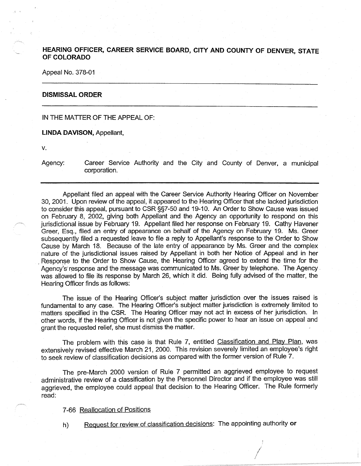# **HEARING OFFICER, CAREER SERVICE BOARD, CITY AND COUNTY OF DENVER STATE OF COLORADO** '

Appeal No. 378-01

### **DISMISSAL ORDER**

IN THE MATTER OF THE APPEAL OF:

**LINDA DAVISON,** Appellant,

**V.** 

Agency: Career Service Authority and the City and County of Denver, a municipal corporation.

Appellant filed an appeal with the Career Service Authority Hearing Officer on November 30, 2001. Upon review of the appeal, it appeared to the Hearing Officer that she lacked jurisdiction to consider this appeal, pursuant to CSR §§7-50 and 19-10. An Order to Show Cause was issued on February 8, 2002, giving both Appellant and the Agency an opportunity to respond on this jurisdictional issue by February 19. Appellant filed her response on February 19. Cathy Havener Greer, Esq., filed an entry of appearance on behalf of the Agency on February 19. Ms. Greer subsequently filed a requested leave to file a reply to Appellant's response to the Order to Show Cause by March 18. Because of the late entry of appearance by Ms. Greer and the complex nature of the jurisdictional issues raised by Appellant in both her Notice of Appeal and in her Response to the Order to Show Cause, the Hearing Officer agreed to extend the time for the Agency's response and the message was communicated to Ms. Greer by telephone. The Agency . was allowed to file its response by March 26, which it did. Being fully advised of the matter, the Hearing Officer finds as follows:

The issue of the Hearing Officer's subject matter jurisdiction over the issues raised is fundamental to any case. The Hearing Officer's subject matter jurisdiction is extremely limited to matters specified in the CSR. The Hearing Officer may not act in excess of her jurisdiction. In other words, if the Hearing Officer is not.given the specific power to hear an issue on appeal and grant the requested relief, she must dismiss the matter.

The problem with this case is that Rule 7, entitled Classification and Play Plan, was extensively revised effective March 21, 2000. This revision severely limited an employee's right to seek review of classification decisions as compared with the former version of Rule 7.

The pre-March 2000 version of Rule 7 permitted an aggrieved employee to request administrative review of a classification by the Personnel Director and if the employee was still aggrieved, the employee could appeal that decision to the Hearing Officer. The Rule formerly read:

### 7-66 Reallocation of Positions

h) Request for review of classification decisions: The appointing authority **or**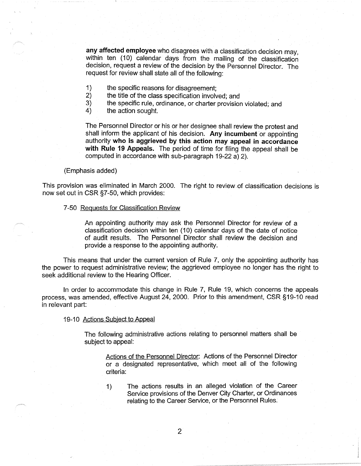**any affected employee** who disagrees with a classification decision may, within ten (10) calendar days from the mailing of the classification decision, request a review of the decision by the Personnel Director. The request for review shall state all of the following:

- 1) the specific reasons for disagreement;<br>2) the title of the class specification involv
- 2) the title of the class specification involved; and<br>3) the specific rule ordinance or charter provision
- 3) the specific rule, ordinance, or charter provision violated; and 4) the action sought.
- the action sought.

The Personnel Director or his or her designee shall review the protest and shall inform the applicant of his decision. **Any incumbent** or appointing authority **who is aggrieved by this action may appeal in accordance with Rule 19 Appeals.** The period of time for filing the appeal shall be computed in accordance with sub-paragraph 19-22 a) 2).

### (Emphasis added)

This provision was eliminated in March 2000. The right to review of classification decisions is now set out in CSR §7-50, which provides:

### 7-50 Requests for Classification Review

An appointing authority may ask the Personnel Director for review of a classification decision within ten (10) calendar days of the date of notice of audit results. The Personnel Director shall review the decision and provide a response to the appointing authority.

This means that under the current version of Rule 7, only the appointing authority has the power to request administrative review; the aggrieved employee no longer has the right to seek additional review *to* the Hearing Officer.

In order to accommodate this change in Rule 7, Rule 19, which concerns the appeals process, was amended, effective August 24, 2000. Prior to this amendment, CSR §19-10 read in relevant part:

### 19-10 Actions Subject to Appeal

The following administrative actions relating *to* personnel matters shall be subject to appeal:

> Actions of the Personnel Director: Actions of the Personnel Director or a designated representative, which meet all of the following criteria:

> 1) The actions results in an alleged violation of the Career Service provisions of the Denver City Charter, or Ordinances relating to the Career Service, or the Personnel Rules.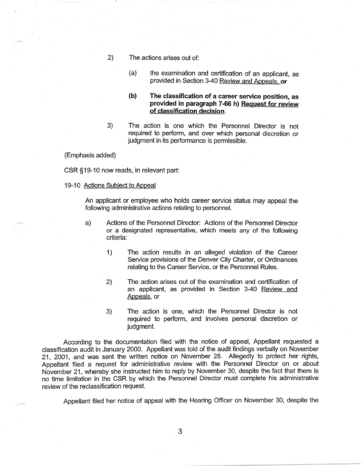- 2) The actions arises out of:
	- (a) the examination and certification of an applicant, as provided in Section 3-40 Review and Appeals. **or**

#### **{b} The classification of a career service position, as provided in paragraph 7-66 h) Request for review of classification decision.**

3) The action is one which the Personnel Director is not required to perform, and over which personal discretion or judgment in its performance is permissible.

(Emphasis added)

CSR §19-10 now reads, in relevant part:

### 19-10 Actions Subject to Appeal

An applicant or employee who holds career service status may appeal the following administrative actions relating to personnel.

- a) Actions of the Personnel Director: Actions of the Personnel Director or a designated representative, which meets any of the following criteria:
	- 1) The action results in an alleged violation of the Career Service provisions of the Denver City Charter, or Ordinances relating to the Career Service, or the Personnel Rules.
	- 2) The action arises out of the examination and certification of an applicant, as provided in Section 3-40 Review and Appeals, or
	- 3) The action is one, which the Personnel Director is not required to perform, and involves personal discretion or judgment.

According to the documentation filed with the notice of appeal, Appellant requested a classification audit in·January 2000. Appellant was told of the audit findings verbally on November 21, 2001, and was sent the written notice on November 28. Allegedly to protect her rights, Appellant filed a request for administrative review with the Personnel Director on or about November 21, whereby she instructed him to reply by November 30, despite the fact that there is no time limitation in the CSR by which the Personnel Director must complete his administrative review of the reclassification request.

Appellant filed her notice of appeal with the Hearing Officer on November 30, despite the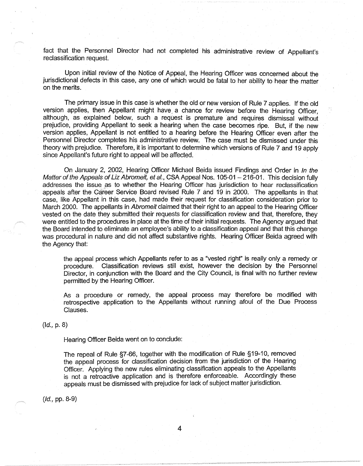fact that the Personnel Director had not completed his administrative review of Appellant's reclassification request.

Upon initial review of the Notice of Appeal, the Hearing Officer was concerned about the jurisdictional defects in this case, any one of which would be fatal to her ability to hear the matter on the merits.

The primary issue in this case is whether the old or new version of Rule 7 applies. If the old version applies, then Appellant might have. a chance for review before the Hearing Officer, although, as explained below, such a request is premature and requires dismissal without prejudice, providing Appellant to seek a hearing when the case becomes ripe. But, if the new version applies, Appellant is not entitled to a hearing before the Hearing Officer even after the Personnel Director completes his administrative review. The case must be dismissed under this theory with prejudice. Therefore, it is important to determine which versions of Rule 7 and 19 apply since Appellant's future right to appeal will be affected.

On January 2, 2002, Hearing Officer Michael Beida issued Findings and Order in In the Matter of the Appeals of Liz Abromeit, et al., CSA Appeal Nos. 105-01 - 216-01. This decision fully addresses the issue as to whether the Hearing Officer has jurisdiction to hear reclassification appeals after the Career Service Board revised Rule 7 and 19 in 2000. The appellants in that case, like Appellant in this case, had made their request for classification consideration prior to March 2000. The appellants in Abromeit claimed that their right to an appeal to the Hearing Officer vested on the date they submitted their requests for classification review and that, therefore, they were entitled to the procedures in place at the time of their initial requests. The Agency argued that the Board intended to eliminate an employee's ability to a classification appeal and that this change was procedural in nature and did not affect substantive rights. Hearing Officer Beida agreed with the Agency that:

the appeal process which Appellants refer to as a "vested right'' is really only a remedy or procedure. Classification reviews still exist, however the decision by the Personnel Director, in conjunction with the Board and the City Council, is final with no further review permitted by the Hearing Officer.

As a procedure or remedy, the appeal process may therefore be modified with retrospective application to the Appellants without running afoul of the Due Process Clauses.

(Id., p. 8)

Hearing Officer Beida went on to conclude:

The repeal of Rule §7-66, together with the modification of Rule §19-10, removed the appeal process for classification decision from the jurisdiction of the Hearing Officer. Applying the new rules eliminating classification appeals to the Appellants is not a retroactive application and is therefore enforceable. Accordingly these appeals must be dismissed with prejudice for lack of subject matter jurisdiction.

(Id., pp. 8-9)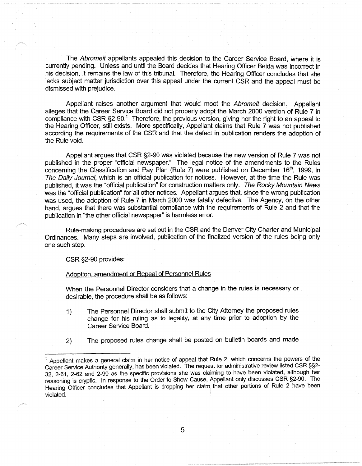The Abromeit appellants appealed this decision to the Career Service Board, where it is currently pending. Unless and until the Board decides that Hearing Officer Beida was incorrect in his decision, it remains the law of this tribunal. Therefore, the Hearing Officer concludes that she lacks subject matter jurisdiction over this appeal under the current CSR and the appeal must be dismissed with prejudice.

Appellant raises another argument that would moot the Abromeit decision. Appellant alleges that the Career Service Board did not properly adopt the March 2000 version of Rule 7 in compliance with CSR §2-90.<sup>1</sup> Therefore, the previous version, giving her the right to an appeal to the Hearing Officer, still exists. More specifically, Appellant claims that Rule 7 was not published according the requirements of the CSR and that the defect in publication renders the adoption of the Rule void.

Appellant argues that CSR §2-90 was violated because the new version of Rule 7 was not published in the proper "official newspaper." The legal notice of the amendments to the Rules concerning the Classification and Pay Plan (Rule 7) were published on December 16<sup>th</sup>, 1999, in The Daily Journal, which is an official publication for notices. However, at the time the Rule was published, it was the "official publication" for construction matters only. The Rocky Mountain News was the "official publication" for all other notices. Appellant argues that, since the wrong publication was used, the adoption of Rule 7 in March 2000 was fatally defective. The Agency, on the other hand, argues that there was substantial compliance with the requirements of Rule 2 and that the publication in "the other official newspaper" is harmless error.

Rule-making procedures are set out in the CSR and the Denver City Charter and Municipal Ordinances. Many steps are involved, publication of the finalized version of the rules being only one such step.

CSR §2-90 provides:

Adoption. amendment or Repeal of Personnel Rules

When the Personnel Director considers that a change in the rules is necessary or desirable, the procedure shall be as follows:

- 1) The Personnel Director shall submit to the City Attorney the proposed rules change for his ruling as to legality, at any time prior to adoption by the Career Service Board.
- 2) The proposed rules change shall be posted on bulletin boards and made

 $<sup>1</sup>$  Appellant makes a general claim in her notice of appeal that Rule 2, which concerns the powers of the</sup> Career Service Authority generally, has been violated. The request for administrative review listed CSR §§2- 32, 2-61, 2-62 and 2-90 as the specific provisions she was claiming to have been violated, although her reasoning is cryptic. In response to the Order to Show Cause, Appellant only discusses CSR §2-90. The Hearing Officer concludes that Appellant is dropping her claim that other portions of Rule 2 have been violated.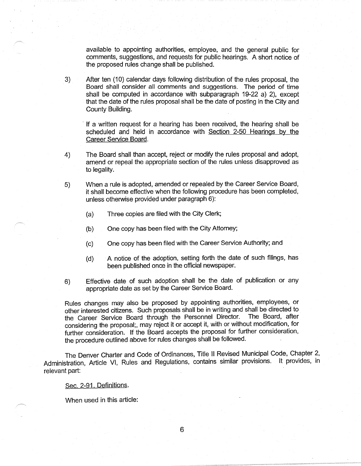available to appointing authorities, employee, and the general public for comments, suggestions, and requests for public hearings. A short notice of the proposed rules change shall be published.

3) After ten (10) calendar days following distribution of the rules proposal, the Board shall consider all comments and suggestions. The period of time shall be computed in accordance with subparagraph 19-22 a) 2), except that the date of the rules proposal shall be the date of posting in the City and County Building.

If a written request for a hearing has been received, the hearing shall be scheduled and held in accordance with Section 2-50 Hearings by the Career Service Board.

- 4) The Board shall than accept, reject or modify the rules proposal and adopt, amend or repeal the appropriate section of the rules unless disapproved as to legality.
- 5) When a rule is adopted, amended or repealed by the Career Service Board, it shall become effective when the following procedure has been completed, unless otherwise provided under paragraph 6):
	- (a) Three copies are filed with the City Clerk;
	- (b) One copy has been filed with the City Attorney;
	- (c) One copy has been filed with the Career Service Authority; and
	- (d) A notice of the adoption, setting forth the date of such filings, has been published once in the official newspaper.
- 6) Effective date of such adoption shall be the date of publication or any appropriate date as set by the Career Service Board.

Rules changes may also be proposed by appointing authorities, employees, or other interested citizens. Such proposals shall be in writing and shall be directed to<br>the Career Service Board through the Personnel Director. The Board, after the Career Service Board through the Personnel Director. considering the proposal;, may reject it or accept it, with or without modification, for further consideration. If the Board accepts the proposal for further consideration, the procedure outlined above for rules changes shall be followed.

The Denver Charter and Code of Ordinances, Title II Revised Municipal Code, Chapter 2, Administration, Article VI, Rules and Regulations, contains similar provisions. It provides, in relevant part:

6

Sec. 2-91. Definitions.

When used in this article: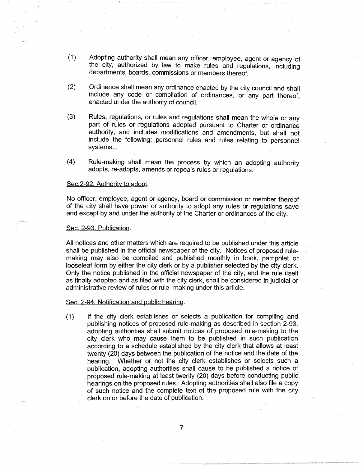- (1) Adopting authority shall mean any officer, employee, agent or agency of the city, authorized by law to make rules and regulations, including departments, boards, commissions or members thereof.
- (2) Ordinance shall mean any ordinance enacted by the city council and shall include any code or compilation of ordinances, or any part thereof, enacted under the authority of council.
- (3) Rules, regulations, or rules and regulations shall mean the whole or any part of rules or regulations adopted pursuant to Charter or ordinance authority, and includes modifications and amendments, but shall not include the following: personnel rules and rules relating to personnel systems...
- (4) Rule-making shall mean the process by which an adopting authority adopts, re-adopts, amends or repeals rules or regulations.

## Sec.2-92. Authority to adopt.

No officer, employee, agent or agency, board or commission or member thereof of the city shall have power or authority to adopt any rules or regulations save and except by and under the authority of the Charter or ordinances of the city.

### Sec. 2-93. Publication.

All notices and other matters which are required to be published under this article shall be published in the official newspaper of the city. Notices of proposed rulemaking may also be compiled and published monthly in book, pamphlet or looseleaf form by either the city clerk or by a publisher selected by the city clerk. Only the notice published in the official newspaper of the city, and the rule itself as finally adopted and as filed with the city clerk, shall be considered in judicial or administrative review of rules or rule- making under this article.

### Sec. 2-94. Notification and public hearing.

(1) If the city clerk establishes or selects a publication for compiling and publishing notices of proposed rule-making as described in section 2-93, adopting authorities shall submit notices of proposed rule-making to the city clerk who may cause them to be published in such publication according to a schedule established by the city clerk that allows at least twenty (20) days between the publication of the notice and the date of the hearing. Whether or not the city clerk establishes or selects such a publication, adopting authorities shall cause to be published a notice of proposed rule-making at least twenty (20) days before conducting public hearings on the proposed rules. Adopting authorities shall also file a copy of such notice and the complete text of the proposed rule with the city clerk on or before the date of publication.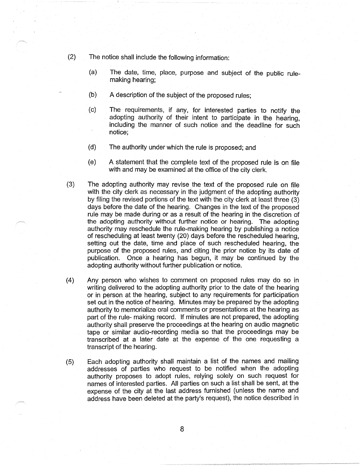- (2) The notice shall include the following information:
	- (a) The date, time, place, purpose and subject of the public rulemaking hearing;
	- (b) A description of the subject of the proposed rules;
	- (c) The requirements, if any, for interested parties to notify the adopting authority of their intent to participate in the hearing, including the manner of such notice and the deadline for such notice;
	- (d) The authority under which the rule is proposed; and
	- ( e) A statement that the complete text of the proposed rule is on file with and may be examined at the office of the city clerk.
- $(3)$  The adopting authority may revise the text of the proposed rule on file with the city clerk as necessary in the judgment of the adopting authority by filing the revised portions of the text with the city clerk at least three (3) days before the date of the hearing. Changes in the text of the proposed rule may be made during or as a result of the hearing in the discretion of the adopting authority without further notice or hearing. The adopting authority may reschedule the rule-making hearing by publishing a notice of rescheduling at least twenty (20) days before the rescheduled hearing, setting out the date, time and place of such rescheduled hearing, the purpose of the proposed rules, and citing the prior notice by its date of publication. Once a hearing has begun, it may be continued by the adopting authority without further publication or notice.
- (4) Any person who wishes to comment on proposed rules may do so in writing delivered to the adopting authority prior to the date of the hearing or in person at the hearing, subject to any requirements for participation set out in the notice of hearing. Minutes may be prepared by the adopting authority to memorialize oral comments or presentations at the hearing as part of the rule- making record. If minutes are not prepared, the adopting authority shall preserve the proceedings at the hearing on audio magnetic tape or similar audio-recording media so that the proceedings may be transcribed at a later date at the expense of the one requesting a transcript of the hearing.
- (5) Each adopting authority shall maintain a list of the names and mailing addresses of parties who request to be notified when the adopting authority proposes to adopt rules, relying solely on such request for names of interested parties. All parties on such a list shall be sent, at the expense of the city at the last address furnished (unless the name and address have been deleted at the party's request), the notice described in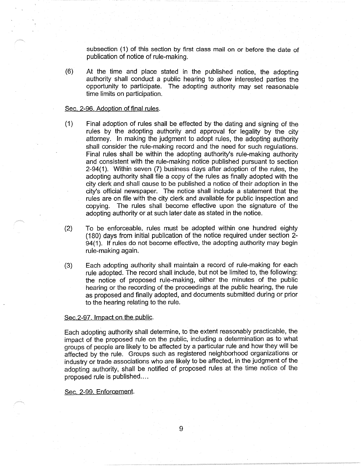subsection (1) of this section by first class mail on or before the date of publication of notice of rule-making.

(6) At the time and place stated in the published notice, the adopting authority shall conduct a public hearing to allow interested parties the opportunity to participate. The adopting authority may set reasonable time limits on participation.

### Sec. 2-96. Adoption of final rules.

- (1) Final adoption of rules shall be effected by the dating and signing of the rules by the adopting authority and approval for legality by the city attorney. In making the judgment to adopt rules, the adopting authority shall consider the rule-making record and the need for such regulations. Final rules shall be within the adopting authority's rule-making authority and consistent with the rule-making notice published pursuant to section 2-94(1). Within seven (7) business days after adoption of the rules, the adopting authority shall file a copy of the rules as finally adopted with the city clerk and shall cause to be published a notice of their adoption in the city's official newspaper. The notice shall include a statement that the rules are on file with the city clerk and available for public inspection and copying. The rules shall become effective upon the signature of the adopting authority or at such later date as stated in the notice.
- (2) To be enforceable, rules must be adopted within one hundred eighty (180) days from initial publication of the notice required under section 2- 94(1). If rules do not become effective, the adopting authority may begin rule-making again.
- (3) Each adopting authority shall maintain a record of rule-making for each rule adopted. The record shall include, but not be limited to, the following: the notice of proposed rule-making, either the minutes of the public hearing or the recording of the proceedings at the public hearing, the rule as proposed and finally adopted, and documents submitted during or prior to the hearing relating to the rule.

### Sec.2-97. Impact on the public.

Each adopting authority shall determine, to the extent reasonably practicable, the impact of the proposed rule on the public, including a determination as to what groups of people are likely to be affected by a particular rule and how they will be affected by the rule. Groups such as registered neighborhood organizations or industry or trade associations who are likely to be affected, in the judgment of the adopting authority, shall be notified of proposed rules at the time notice of the proposed rule is published....

9

## Sec. 2-99. Enforcement.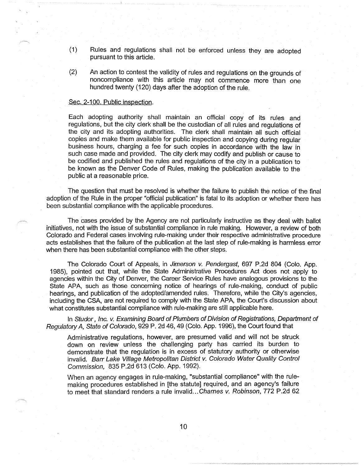- ( 1) Rules and regulations shall not be enforced unless they are adopted pursuant to this article.
- (2) An action to contest the validity of rules and regulations on the grounds of noncompliance with this article may not commence more than one hundred twenty (120) days after the adoption of the rule.

### Sec. 2-100. Public inspection.

Each adopting authority shall maintain an official copy of its rules and regulations, but the city clerk shall be the custodian of all rules and regulations of the city and its adopting authorities. The clerk shall maintain all such official copies and make them available for public inspection and copying during regular business hours, charging a fee for such copies in accordance with the law in such case made and provided. The city clerk may codify and publish or cause to be codified and published the rules and regulations of the city in a publication to be known as the Denver Code of Rules, making the publication available to the public at a reasonable price.

The question that must be resolved is whether the failure to publish the notice of the final adoption of the Rule in the proper "official publication" is fatal to its adoption or whether there has been substantial compliance with the applicable procedures.

The cases provided by the Agency are not particularly instructive as they deal with ballot initiatives, not with the issue of substantial compliance in rule making. However, a review of both Colorado and Federal cases involving rule-making under their respective administrative procedure acts establishes that the failure of the publication at the last step of rule-making is harmless error when there has been substantial compliance with the other steps.

The Colorado Court of Appeals, in Jimerson v. Pendergast, 697 P.2d 804 (Colo. App. 1985), pointed out that, while the State Administrative Procedures Act does not apply to agencies within the City of Denver, the Career Service Rules have analogous provisions to the State APA, such as those concerning notice of hearings of rule-making, conduct of public hearings, and publication of the adopted/amended rules. Therefore, while the City's agencies, including the CSA, are not required to comply with the State APA, the Court's discussion about what constitutes substantial compliance with rule-making are still applicable here.

In Studor, Inc. v. Examining Board of Plumbers of Division of Registrations, Department of Regulatory A, State of Colorado, 929 P. 2d 46, 49 (Colo. App. 1996), the Court found that

Administrative regulations, however, are presumed valid and will not be struck down on review unless the challenging party has carried its burden to demonstrate that the regulation is in excess of statutory authority or otherwise invalid. Barr Lake Village Metropolitan District v. Colorado Water Quality Control Commission, 835 P.2d 613 (Colo. App. 1992).

When an agency engages in rule-making, "substantial compliance" with the rulemaking procedures established in [the statute] required, and an agency's failure to meet that standard renders a rule invalid... Charnes v. Robinson, 772 P.2d 62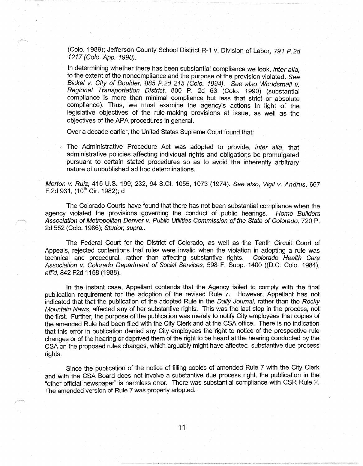(Colo. 1989); Jefferson County School District R-1 v. Division of Labor, 791 P.2d 1217 (Colo. App. 1990).

In determining whether there has been substantial compliance we look, inter alia, to the extent of the noncompliance and the purpose of the provision violated. See Bickel v. City of Boulder, 885 P.2d 215 (Colo. 1994). See also Woodsmall v. Regional Transportation District, 800 P. 2d 63 (Colo. 1990) (substantial compliance is more than minimal compliance but less that strict or absolute compliance). Thus, we must examine the agency's actions in light of the legislative objectives of the rule-making provisions at issue, as well as the objectives of the APA procedures in general.

Over a decade earlier, the United States Supreme Court found that:

The Administrative Procedure Act was adopted to provide, inter alia, that administrative policies affecting individual rights and obligations be promulgated pursuant to certain stated procedures so as to avoid the inherently arbitrary nature of unpublished ad hoc determinations.

Morton v. Ruiz, 415 U.S. 199, 232, 94 S.Ct. 1055, 1073 (1974). See also, Vigil v. Andrus, 667 F.2d 931,  $(10^{th}$  Cir. 1982); d

The Colorado Courts have found that there has not been substantial compliance when the agency violated the provisions governing the conduct of public hearings. Home Builders Association of Metropolitan Denver v. Public Utilities Commission of the State of Colorado, 720 P. 2d 552 (Colo. 1986); Studor, supra..

The Federal Court for the District of Colorado, as well as the Tenth Circuit Court of Appeals, rejected contentions that rules were invalid when the violation in adopting a rule was technical and procedural, rather than affecting substantive rights. Colorado Health Care Association *v. Colorado Department of Social Services*, 598 F. Supp. 1400 ((D.C. Colo. 1984), aff'd, 842 F2d 1158 (1988).

In the instant case, Appellant contends that the Agency failed to comply with the final publication requirement for the adoption of the revised Rule 7. However, Appellant has not indicated that that the publication of the adopted Rule in the Daily Journal, rather than the Rocky Mountain News, affected any of her substantive rights. This was the last step in the process, not the first. Further, the purpose of the publication was merely to notify City employees that copies of the amended Rule had been filed with the City Clerk and at the CSA office. There is no indication that this error in publication denied any City employees the right to notice of the prospective rule changes or of the hearing or deprived them of the right to be heard at the hearing conducted by the CSA on the proposed rules changes, which arguably might have affected substantive due process rights.

Since the publication of the notice of filling copies of amended Rule 7 with the City Clerk and with the CSA Board does not involve a substantive due process right, the publication in the "other official newspaper" is harmless error. There was substantial compliance with CSR Rule 2. The amended version of Rule 7 was properly adopted.